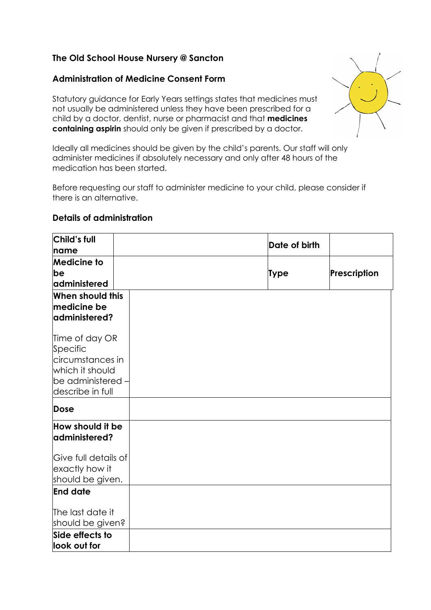## **The Old School House Nursery @ Sancton**

## **Administration of Medicine Consent Form**

Statutory guidance for Early Years settings states that medicines must not usually be administered unless they have been prescribed for a child by a doctor, dentist, nurse or pharmacist and that **medicines containing aspirin** should only be given if prescribed by a doctor.

Ideally all medicines should be given by the child's parents. Our staff will only administer medicines if absolutely necessary and only after 48 hours of the medication has been started.

Before requesting our staff to administer medicine to your child, please consider if there is an alternative.

## **Details of administration**

| <b>Child's full</b><br>name                                                                                | Date of birth |              |
|------------------------------------------------------------------------------------------------------------|---------------|--------------|
| <b>Medicine to</b><br>be<br>administered                                                                   | Type          | Prescription |
| When should this<br>medicine be<br> administered?                                                          |               |              |
| Time of day OR<br>Specific<br>circumstances in<br>which it should<br>be administered -<br>describe in full |               |              |
| Dose                                                                                                       |               |              |
| How should it be<br> administered?                                                                         |               |              |
| Give full details of<br>exactly how it<br>should be given.                                                 |               |              |
| <b>End date</b>                                                                                            |               |              |
| The last date it<br>should be given?                                                                       |               |              |
| Side effects to<br>look out for                                                                            |               |              |